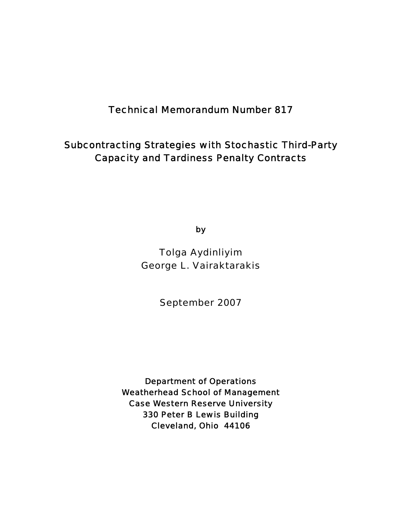# Technical Memorandum Number 817

# Subcontracting Strategies with Stochastic Third-Party Capacity and Tardiness Penalty Contracts

by

Tolga Aydinliyim George L. Vairaktarakis

September 2007

Department of Operations Weatherhead School of Management Case Western Reserve University 330 Peter B Lewis Building Cleveland, Ohio 44106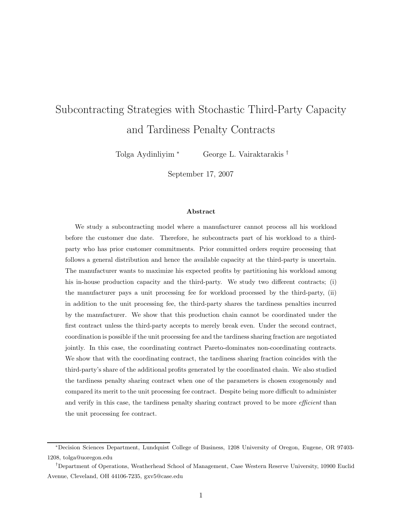# Subcontracting Strategies with Stochastic Third-Party Capacity and Tardiness Penalty Contracts

Tolga Aydinliyim <sup>∗</sup> George L. Vairaktarakis †

September 17, 2007

#### **Abstract**

We study a subcontracting model where a manufacturer cannot process all his workload before the customer due date. Therefore, he subcontracts part of his workload to a thirdparty who has prior customer commitments. Prior committed orders require processing that follows a general distribution and hence the available capacity at the third-party is uncertain. The manufacturer wants to maximize his expected profits by partitioning his workload among his in-house production capacity and the third-party. We study two different contracts; (i) the manufacturer pays a unit processing fee for workload processed by the third-party, (ii) in addition to the unit processing fee, the third-party shares the tardiness penalties incurred by the manufacturer. We show that this production chain cannot be coordinated under the first contract unless the third-party accepts to merely break even. Under the second contract, coordination is possible if the unit processing fee and the tardiness sharing fraction are negotiated jointly. In this case, the coordinating contract Pareto-dominates non-coordinating contracts. We show that with the coordinating contract, the tardiness sharing fraction coincides with the third-party's share of the additional profits generated by the coordinated chain. We also studied the tardiness penalty sharing contract when one of the parameters is chosen exogenously and compared its merit to the unit processing fee contract. Despite being more difficult to administer and verify in this case, the tardiness penalty sharing contract proved to be more *efficient* than the unit processing fee contract.

<sup>∗</sup>Decision Sciences Department, Lundquist College of Business, 1208 University of Oregon, Eugene, OR 97403- 1208, tolga@uoregon.edu

<sup>†</sup>Department of Operations, Weatherhead School of Management, Case Western Reserve University, 10900 Euclid Avenue, Cleveland, OH 44106-7235, gxv5@case.edu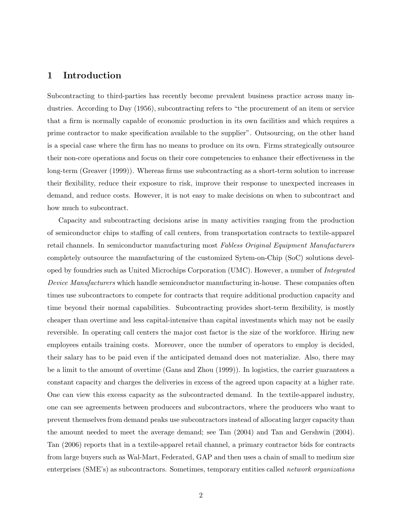# **1 Introduction**

Subcontracting to third-parties has recently become prevalent business practice across many industries. According to Day (1956), subcontracting refers to "the procurement of an item or service that a firm is normally capable of economic production in its own facilities and which requires a prime contractor to make specification available to the supplier". Outsourcing, on the other hand is a special case where the firm has no means to produce on its own. Firms strategically outsource their non-core operations and focus on their core competencies to enhance their effectiveness in the long-term (Greaver (1999)). Whereas firms use subcontracting as a short-term solution to increase their flexibility, reduce their exposure to risk, improve their response to unexpected increases in demand, and reduce costs. However, it is not easy to make decisions on when to subcontract and how much to subcontract.

Capacity and subcontracting decisions arise in many activities ranging from the production of semiconductor chips to staffing of call centers, from transportation contracts to textile-apparel retail channels. In semiconductor manufacturing most *Fabless Original Equipment Manufacturers* completely outsource the manufacturing of the customized Sytem-on-Chip (SoC) solutions developed by foundries such as United Microchips Corporation (UMC). However, a number of *Integrated Device Manufacturers* which handle semiconductor manufacturing in-house. These companies often times use subcontractors to compete for contracts that require additional production capacity and time beyond their normal capabilities. Subcontracting provides short-term flexibility, is mostly cheaper than overtime and less capital-intensive than capital investments which may not be easily reversible. In operating call centers the major cost factor is the size of the workforce. Hiring new employees entails training costs. Moreover, once the number of operators to employ is decided, their salary has to be paid even if the anticipated demand does not materialize. Also, there may be a limit to the amount of overtime (Gans and Zhou (1999)). In logistics, the carrier guarantees a constant capacity and charges the deliveries in excess of the agreed upon capacity at a higher rate. One can view this excess capacity as the subcontracted demand. In the textile-apparel industry, one can see agreements between producers and subcontractors, where the producers who want to prevent themselves from demand peaks use subcontractors instead of allocating larger capacity than the amount needed to meet the average demand; see Tan (2004) and Tan and Gershwin (2004). Tan (2006) reports that in a textile-apparel retail channel, a primary contractor bids for contracts from large buyers such as Wal-Mart, Federated, GAP and then uses a chain of small to medium size enterprises (SME's) as subcontractors. Sometimes, temporary entities called *network organizations*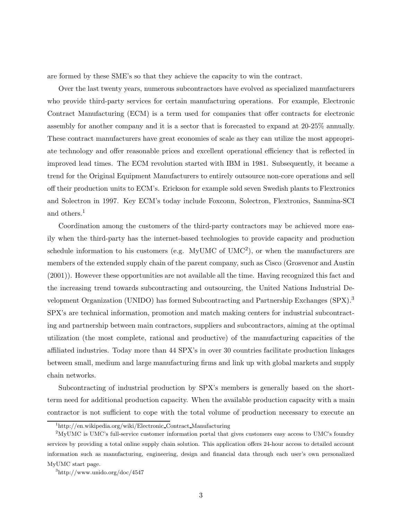are formed by these SME's so that they achieve the capacity to win the contract.

Over the last twenty years, numerous subcontractors have evolved as specialized manufacturers who provide third-party services for certain manufacturing operations. For example, Electronic Contract Manufacturing (ECM) is a term used for companies that offer contracts for electronic assembly for another company and it is a sector that is forecasted to expand at 20-25% annually. These contract manufacturers have great economies of scale as they can utilize the most appropriate technology and offer reasonable prices and excellent operational efficiency that is reflected in improved lead times. The ECM revolution started with IBM in 1981. Subsequently, it became a trend for the Original Equipment Manufacturers to entirely outsource non-core operations and sell off their production units to ECM's. Erickson for example sold seven Swedish plants to Flextronics and Solectron in 1997. Key ECM's today include Foxconn, Solectron, Flextronics, Sanmina-SCI and others.<sup>1</sup>

Coordination among the customers of the third-party contractors may be achieved more easily when the third-party has the internet-based technologies to provide capacity and production schedule information to his customers (e.g. MyUMC of  $UMC<sup>2</sup>$ ), or when the manufacturers are members of the extended supply chain of the parent company, such as Cisco (Grosvenor and Austin (2001)). However these opportunities are not available all the time. Having recognized this fact and the increasing trend towards subcontracting and outsourcing, the United Nations Industrial Development Organization (UNIDO) has formed Subcontracting and Partnership Exchanges (SPX).<sup>3</sup> SPX's are technical information, promotion and match making centers for industrial subcontracting and partnership between main contractors, suppliers and subcontractors, aiming at the optimal utilization (the most complete, rational and productive) of the manufacturing capacities of the affiliated industries. Today more than 44 SPX's in over 30 countries facilitate production linkages between small, medium and large manufacturing firms and link up with global markets and supply chain networks.

Subcontracting of industrial production by SPX's members is generally based on the shortterm need for additional production capacity. When the available production capacity with a main contractor is not sufficient to cope with the total volume of production necessary to execute an

<sup>1</sup>http://en.wikipedia.org/wiki/Electronic Contract Manufacturing

<sup>2</sup>MyUMC is UMC's full-service customer information portal that gives customers easy access to UMC's foundry services by providing a total online supply chain solution. This application offers 24-hour access to detailed account information such as manufacturing, engineering, design and financial data through each user's own personalized MyUMC start page.

<sup>3</sup>http://www.unido.org/doc/4547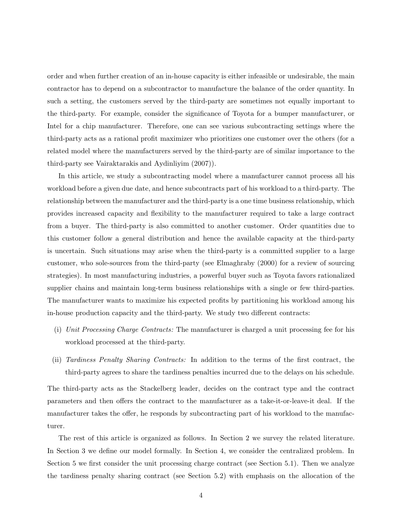order and when further creation of an in-house capacity is either infeasible or undesirable, the main contractor has to depend on a subcontractor to manufacture the balance of the order quantity. In such a setting, the customers served by the third-party are sometimes not equally important to the third-party. For example, consider the significance of Toyota for a bumper manufacturer, or Intel for a chip manufacturer. Therefore, one can see various subcontracting settings where the third-party acts as a rational profit maximizer who prioritizes one customer over the others (for a related model where the manufacturers served by the third-party are of similar importance to the third-party see Vairaktarakis and Aydinliyim (2007)).

In this article, we study a subcontracting model where a manufacturer cannot process all his workload before a given due date, and hence subcontracts part of his workload to a third-party. The relationship between the manufacturer and the third-party is a one time business relationship, which provides increased capacity and flexibility to the manufacturer required to take a large contract from a buyer. The third-party is also committed to another customer. Order quantities due to this customer follow a general distribution and hence the available capacity at the third-party is uncertain. Such situations may arise when the third-party is a committed supplier to a large customer, who sole-sources from the third-party (see Elmaghraby (2000) for a review of sourcing strategies). In most manufacturing industries, a powerful buyer such as Toyota favors rationalized supplier chains and maintain long-term business relationships with a single or few third-parties. The manufacturer wants to maximize his expected profits by partitioning his workload among his in-house production capacity and the third-party. We study two different contracts:

- (i) *Unit Processing Charge Contracts:* The manufacturer is charged a unit processing fee for his workload processed at the third-party.
- (ii) *Tardiness Penalty Sharing Contracts:* In addition to the terms of the first contract, the third-party agrees to share the tardiness penalties incurred due to the delays on his schedule.

The third-party acts as the Stackelberg leader, decides on the contract type and the contract parameters and then offers the contract to the manufacturer as a take-it-or-leave-it deal. If the manufacturer takes the offer, he responds by subcontracting part of his workload to the manufacturer.

The rest of this article is organized as follows. In Section 2 we survey the related literature. In Section 3 we define our model formally. In Section 4, we consider the centralized problem. In Section 5 we first consider the unit processing charge contract (see Section 5.1). Then we analyze the tardiness penalty sharing contract (see Section 5.2) with emphasis on the allocation of the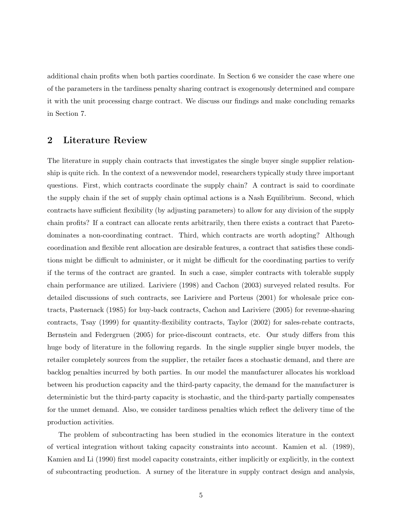additional chain profits when both parties coordinate. In Section 6 we consider the case where one of the parameters in the tardiness penalty sharing contract is exogenously determined and compare it with the unit processing charge contract. We discuss our findings and make concluding remarks in Section 7.

# **2 Literature Review**

The literature in supply chain contracts that investigates the single buyer single supplier relationship is quite rich. In the context of a newsvendor model, researchers typically study three important questions. First, which contracts coordinate the supply chain? A contract is said to coordinate the supply chain if the set of supply chain optimal actions is a Nash Equilibrium. Second, which contracts have sufficient flexibility (by adjusting parameters) to allow for any division of the supply chain profits? If a contract can allocate rents arbitrarily, then there exists a contract that Paretodominates a non-coordinating contract. Third, which contracts are worth adopting? Although coordination and flexible rent allocation are desirable features, a contract that satisfies these conditions might be difficult to administer, or it might be difficult for the coordinating parties to verify if the terms of the contract are granted. In such a case, simpler contracts with tolerable supply chain performance are utilized. Lariviere (1998) and Cachon (2003) surveyed related results. For detailed discussions of such contracts, see Lariviere and Porteus (2001) for wholesale price contracts, Pasternack (1985) for buy-back contracts, Cachon and Lariviere (2005) for revenue-sharing contracts, Tsay (1999) for quantity-flexibility contracts, Taylor (2002) for sales-rebate contracts, Bernstein and Federgruen (2005) for price-discount contracts, etc. Our study differs from this huge body of literature in the following regards. In the single supplier single buyer models, the retailer completely sources from the supplier, the retailer faces a stochastic demand, and there are backlog penalties incurred by both parties. In our model the manufacturer allocates his workload between his production capacity and the third-party capacity, the demand for the manufacturer is deterministic but the third-party capacity is stochastic, and the third-party partially compensates for the unmet demand. Also, we consider tardiness penalties which reflect the delivery time of the production activities.

The problem of subcontracting has been studied in the economics literature in the context of vertical integration without taking capacity constraints into account. Kamien et al. (1989), Kamien and Li (1990) first model capacity constraints, either implicitly or explicitly, in the context of subcontracting production. A surney of the literature in supply contract design and analysis,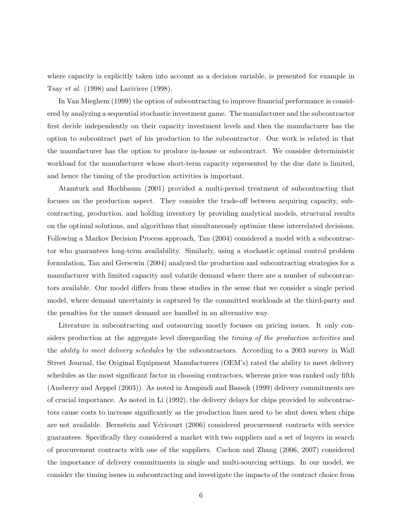where capacity is explicitly taken into account as a decision variable, is presented for example in Tsay *et al.* (1998) and Lariviere (1998).

In Van Mieghem (1999) the option of subcontracting to improve financial performance is considered by analyzing a sequential stochastic investment game. The manufacturer and the subcontractor first decide independently on their capacity investment levels and then the manufacturer has the option to subcontract part of his production to the subcontractor. Our work is related in that the manufacturer has the option to produce in-house or subcontract. We consider deterministic workload for the manufacturer whose short-term capacity represented by the due date is limited, and hence the timing of the production activities is important.

Atamturk and Hochbaum (2001) provided a multi-period treatment of subcontracting that focuses on the production aspect. They consider the trade-off between acquiring capacity, subcontracting, production, and holding inventory by providing analytical models, structural results on the optimal solutions, and algorithms that simultaneously optimize these interrelated decisions. Following a Markov Decision Process approach, Tan (2004) considered a model with a subcontractor who guarantees long-term availability. Similarly, using a stochastic optimal control problem formulation, Tan and Gerscwin (2004) analyzed the production and subcontracting strategies for a manufacturer with limited capacity and volatile demand where there are a number of subcontractors available. Our model differs from these studies in the sense that we consider a single period model, where demand uncertainty is captured by the committed workloads at the third-party and the penalties for the unmet demand are handled in an alternative way.

Literature in subcontracting and outsourcing mostly focuses on pricing issues. It only considers production at the aggregate level disregarding the *timing of the production activities* and the *ability to meet delivery schedules* by the subcontractors. According to a 2003 survey in Wall Street Journal, the Original Equipment Manufacturers (OEM's) rated the ability to meet delivery schedules as the most significant factor in choosing contractors, whereas price was ranked only fifth (Ansberry and Aeppel (2003)). As noted in Anupindi and Bassok (1999) delivery commitments are of crucial importance. As noted in Li (1992), the delivery delays for chips provided by subcontractors cause costs to increase significantly as the production lines need to be shut down when chips are not available. Bernstein and Véricourt (2006) considered procurement contracts with service guarantees. Specifically they considered a market with two suppliers and a set of buyers in search of procurement contracts with one of the suppliers. Cachon and Zhang (2006, 2007) considered the importance of delivery commitments in single and multi-sourcing settings. In our model, we consider the timing issues in subcontracting and investigate the impacts of the contract choice from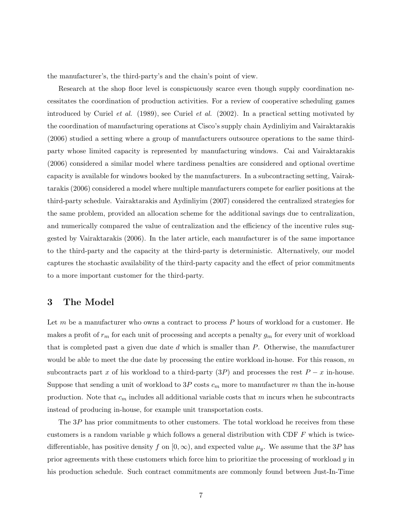the manufacturer's, the third-party's and the chain's point of view.

Research at the shop floor level is conspicuously scarce even though supply coordination necessitates the coordination of production activities. For a review of cooperative scheduling games introduced by Curiel *et al.* (1989), see Curiel *et al.* (2002). In a practical setting motivated by the coordination of manufacturing operations at Cisco's supply chain Aydinliyim and Vairaktarakis (2006) studied a setting where a group of manufacturers outsource operations to the same thirdparty whose limited capacity is represented by manufacturing windows. Cai and Vairaktarakis (2006) considered a similar model where tardiness penalties are considered and optional overtime capacity is available for windows booked by the manufacturers. In a subcontracting setting, Vairaktarakis (2006) considered a model where multiple manufacturers compete for earlier positions at the third-party schedule. Vairaktarakis and Aydinliyim (2007) considered the centralized strategies for the same problem, provided an allocation scheme for the additional savings due to centralization, and numerically compared the value of centralization and the efficiency of the incentive rules suggested by Vairaktarakis (2006). In the later article, each manufacturer is of the same importance to the third-party and the capacity at the third-party is deterministic. Alternatively, our model captures the stochastic availability of the third-party capacity and the effect of prior commitments to a more important customer for the third-party.

## **3 The Model**

Let  $m$  be a manufacturer who owns a contract to process  $P$  hours of workload for a customer. He makes a profit of  $r_m$  for each unit of processing and accepts a penalty  $g_m$  for every unit of workload that is completed past a given due date  $d$  which is smaller than  $P$ . Otherwise, the manufacturer would be able to meet the due date by processing the entire workload in-house. For this reason,  $m$ subcontracts part x of his workload to a third-party  $(3P)$  and processes the rest  $P-x$  in-house. Suppose that sending a unit of workload to 3P costs  $c_m$  more to manufacturer m than the in-house production. Note that  $c_m$  includes all additional variable costs that m incurs when he subcontracts instead of producing in-house, for example unit transportation costs.

The 3P has prior commitments to other customers. The total workload he receives from these customers is a random variable y which follows a general distribution with CDF  $F$  which is twicedifferentiable, has positive density f on  $[0, \infty)$ , and expected value  $\mu_y$ . We assume that the 3P has prior agreements with these customers which force him to prioritize the processing of workload y in his production schedule. Such contract commitments are commonly found between Just-In-Time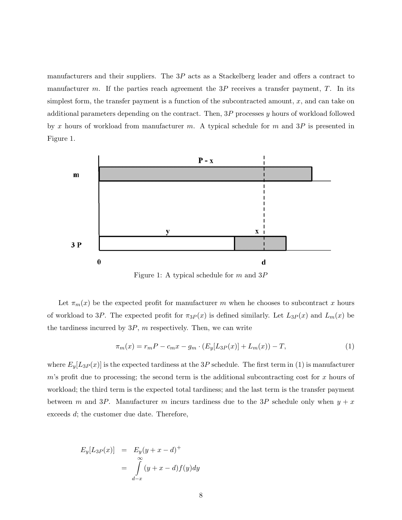manufacturers and their suppliers. The 3P acts as a Stackelberg leader and offers a contract to manufacturer m. If the parties reach agreement the  $3P$  receives a transfer payment, T. In its simplest form, the transfer payment is a function of the subcontracted amount,  $x$ , and can take on additional parameters depending on the contract. Then, 3P processes y hours of workload followed by x hours of workload from manufacturer m. A typical schedule for m and  $3P$  is presented in Figure 1.



Figure 1: A typical schedule for m and 3P

Let  $\pi_m(x)$  be the expected profit for manufacturer m when he chooses to subcontract x hours of workload to 3P. The expected profit for  $\pi_{3P}(x)$  is defined similarly. Let  $L_{3P}(x)$  and  $L_m(x)$  be the tardiness incurred by  $3P$ , m respectively. Then, we can write

$$
\pi_m(x) = r_m P - c_m x - g_m \cdot (E_y[L_{3P}(x)] + L_m(x)) - T,\tag{1}
$$

where  $E_y[L_{3P}(x)]$  is the expected tardiness at the 3P schedule. The first term in (1) is manufacturer m's profit due to processing; the second term is the additional subcontracting cost for x hours of workload; the third term is the expected total tardiness; and the last term is the transfer payment between m and 3P. Manufacturer m incurs tardiness due to the 3P schedule only when  $y + x$ exceeds d; the customer due date. Therefore,

$$
E_y[L_{3P}(x)] = E_y(y+x-d)^+
$$
  
= 
$$
\int_{d-x}^{\infty} (y+x-d)f(y)dy
$$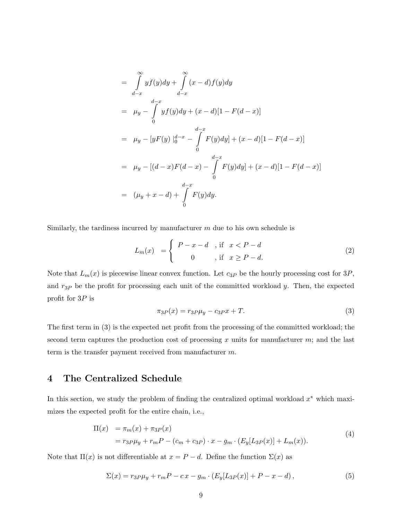$$
= \int_{d-x}^{\infty} yf(y)dy + \int_{d-x}^{\infty} (x-d)f(y)dy
$$
  
\n
$$
= \mu_y - \int_{0}^{d-x} yf(y)dy + (x-d)[1 - F(d-x)]
$$
  
\n
$$
= \mu_y - [yF(y)]_0^{d-x} - \int_{0}^{d-x} F(y)dy + (x-d)[1 - F(d-x)]
$$
  
\n
$$
= \mu_y - [(d-x)F(d-x) - \int_{0}^{d-x} F(y)dy] + (x-d)[1 - F(d-x)]
$$
  
\n
$$
= (\mu_y + x - d) + \int_{0}^{d-x} F(y)dy.
$$

Similarly, the tardiness incurred by manufacturer  $m$  due to his own schedule is

$$
L_m(x) = \begin{cases} P - x - d, & \text{if } x < P - d \\ 0, & \text{if } x \ge P - d. \end{cases}
$$
 (2)

Note that  $L_m(x)$  is piecewise linear convex function. Let  $c_{3P}$  be the hourly processing cost for  $3P$ , and  $r_{3P}$  be the profit for processing each unit of the committed workload y. Then, the expected profit for  $3P$  is

$$
\pi_{3P}(x) = r_{3P}\mu_y - c_{3P}x + T.
$$
\n(3)

The first term in (3) is the expected net profit from the processing of the committed workload; the second term captures the production cost of processing x units for manufacturer  $m$ ; and the last term is the transfer payment received from manufacturer m.

# **4 The Centralized Schedule**

In this section, we study the problem of finding the centralized optimal workload  $x^*$  which maximizes the expected profit for the entire chain, i.e.,

$$
\Pi(x) = \pi_m(x) + \pi_{3P}(x)
$$
  
=  $r_{3P}\mu_y + r_m P - (c_m + c_{3P}) \cdot x - g_m \cdot (E_y[L_{3P}(x)] + L_m(x)).$  (4)

Note that  $\Pi(x)$  is not differentiable at  $x = P - d$ . Define the function  $\Sigma(x)$  as

$$
\Sigma(x) = r_3 P \mu_y + r_m P - c x - g_m \cdot (E_y[L_{3P}(x)] + P - x - d), \qquad (5)
$$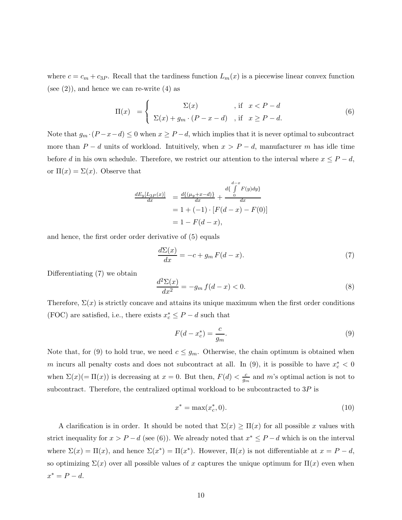where  $c = c_m + c_{3P}$ . Recall that the tardiness function  $L_m(x)$  is a piecewise linear convex function (see  $(2)$ ), and hence we can re-write  $(4)$  as

$$
\Pi(x) = \begin{cases}\n\Sigma(x) & , \text{if } x < P - d \\
\Sigma(x) + g_m \cdot (P - x - d) & , \text{if } x \ge P - d.\n\end{cases}
$$
\n(6)

Note that  $g_m \cdot (P - x - d) \leq 0$  when  $x \geq P - d$ , which implies that it is never optimal to subcontract more than  $P - d$  units of workload. Intuitively, when  $x > P - d$ , manufacturer m has idle time before d in his own schedule. Therefore, we restrict our attention to the interval where  $x \leq P - d$ , or  $\Pi(x) = \Sigma(x)$ . Observe that

$$
\frac{dE_y[L_{3P}(x)]}{dx} = \frac{d\{(u_y + x - d)\}}{dx} + \frac{d\{\int_0^{d-x} F(y)dy\}}{dx}
$$

$$
= 1 + (-1) \cdot [F(d - x) - F(0)]
$$

$$
= 1 - F(d - x),
$$

and hence, the first order order derivative of (5) equals

$$
\frac{d\Sigma(x)}{dx} = -c + g_m F(d - x). \tag{7}
$$

Differentiating (7) we obtain

$$
\frac{d^2\Sigma(x)}{dx^2} = -g_m f(d-x) < 0. \tag{8}
$$

Therefore,  $\Sigma(x)$  is strictly concave and attains its unique maximum when the first order conditions (FOC) are satisfied, i.e., there exists  $x^*_c \leq P - d$  such that

$$
F(d - x_c^*) = \frac{c}{g_m}.\tag{9}
$$

Note that, for (9) to hold true, we need  $c \le g_m$ . Otherwise, the chain optimum is obtained when m incurs all penalty costs and does not subcontract at all. In (9), it is possible to have  $x_c^* < 0$ when  $\Sigma(x) (= \Pi(x))$  is decreasing at  $x = 0$ . But then,  $F(d) < \frac{c}{g_m}$  and m's optimal action is not to subcontract. Therefore, the centralized optimal workload to be subcontracted to  $3P$  is

$$
x^* = \max(x_c^*, 0). \tag{10}
$$

A clarification is in order. It should be noted that  $\Sigma(x) \geq \Pi(x)$  for all possible x values with strict inequality for  $x > P - d$  (see (6)). We already noted that  $x^* \leq P - d$  which is on the interval where  $\Sigma(x) = \Pi(x)$ , and hence  $\Sigma(x^*) = \Pi(x^*)$ . However,  $\Pi(x)$  is not differentiable at  $x = P - d$ , so optimizing  $\Sigma(x)$  over all possible values of x captures the unique optimum for  $\Pi(x)$  even when  $x^* = P - d.$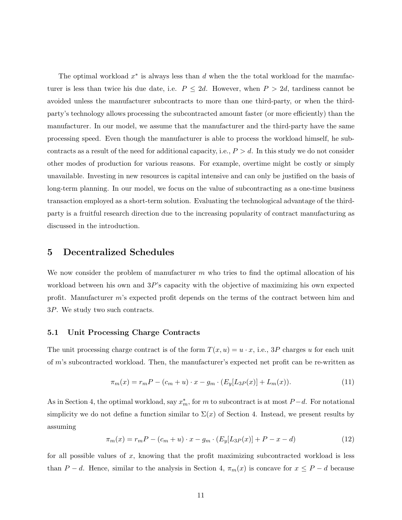The optimal workload  $x^*$  is always less than d when the total workload for the manufacturer is less than twice his due date, i.e.  $P \leq 2d$ . However, when  $P > 2d$ , tardiness cannot be avoided unless the manufacturer subcontracts to more than one third-party, or when the thirdparty's technology allows processing the subcontracted amount faster (or more efficiently) than the manufacturer. In our model, we assume that the manufacturer and the third-party have the same processing speed. Even though the manufacturer is able to process the workload himself, he subcontracts as a result of the need for additional capacity, i.e.,  $P > d$ . In this study we do not consider other modes of production for various reasons. For example, overtime might be costly or simply unavailable. Investing in new resources is capital intensive and can only be justified on the basis of long-term planning. In our model, we focus on the value of subcontracting as a one-time business transaction employed as a short-term solution. Evaluating the technological advantage of the thirdparty is a fruitful research direction due to the increasing popularity of contract manufacturing as discussed in the introduction.

# **5 Decentralized Schedules**

We now consider the problem of manufacturer  $m$  who tries to find the optimal allocation of his workload between his own and 3P's capacity with the objective of maximizing his own expected profit. Manufacturer m's expected profit depends on the terms of the contract between him and 3P. We study two such contracts.

#### **5.1 Unit Processing Charge Contracts**

The unit processing charge contract is of the form  $T(x, u) = u \cdot x$ , i.e., 3P charges u for each unit of m's subcontracted workload. Then, the manufacturer's expected net profit can be re-written as

$$
\pi_m(x) = r_m P - (c_m + u) \cdot x - g_m \cdot (E_y[L_{3P}(x)] + L_m(x)). \tag{11}
$$

As in Section 4, the optimal workload, say  $x_m^*$ , for m to subcontract is at most  $P-d$ . For notational simplicity we do not define a function similar to  $\Sigma(x)$  of Section 4. Instead, we present results by assuming

$$
\pi_m(x) = r_m P - (c_m + u) \cdot x - g_m \cdot (E_y[L_{3P}(x)] + P - x - d)
$$
\n(12)

for all possible values of  $x$ , knowing that the profit maximizing subcontracted workload is less than  $P - d$ . Hence, similar to the analysis in Section 4,  $\pi_m(x)$  is concave for  $x \leq P - d$  because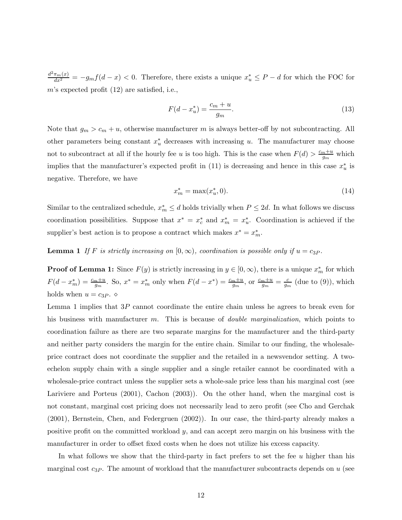$\frac{d^2\pi_m(x)}{dx^2} = -g_mf(d-x) < 0.$  Therefore, there exists a unique  $x_u^* \leq P - d$  for which the FOC for m's expected profit (12) are satisfied, i.e.,

$$
F(d - x_u^*) = \frac{c_m + u}{g_m}.
$$
\n(13)

Note that  $g_m > c_m + u$ , otherwise manufacturer m is always better-off by not subcontracting. All other parameters being constant  $x_u^*$  decreases with increasing u. The manufacturer may choose not to subcontract at all if the hourly fee u is too high. This is the case when  $F(d) > \frac{c_m + u}{g_m}$  which implies that the manufacturer's expected profit in (11) is decreasing and hence in this case  $x_u^*$  is negative. Therefore, we have

$$
x_m^* = \max(x_u^*, 0). \tag{14}
$$

Similar to the centralized schedule,  $x_m^* \leq d$  holds trivially when  $P \leq 2d$ . In what follows we discuss coordination possibilities. Suppose that  $x^* = x_c^*$  and  $x_m^* = x_u^*$ . Coordination is achieved if the supplier's best action is to propose a contract which makes  $x^* = x_m^*$ .

**Lemma 1** *If* F *is strictly increasing on*  $[0, \infty)$ *, coordination is possible only if*  $u = c_{3P}$ *.* 

**Proof of Lemma 1:** Since  $F(y)$  is strictly increasing in  $y \in [0, \infty)$ , there is a unique  $x_m^*$  for which  $F(d-x_m^*)=\frac{c_m+u}{g_m}$ . So,  $x^*=x_m^*$  only when  $F(d-x^*)=\frac{c_m+u}{g_m}$ , or  $\frac{c_m+u}{g_m}=\frac{c}{g_m}$  (due to (9)), which holds when  $u = c_3P$ .  $\diamond$ 

Lemma 1 implies that 3P cannot coordinate the entire chain unless he agrees to break even for his business with manufacturer m. This is because of *double marginalization*, which points to coordination failure as there are two separate margins for the manufacturer and the third-party and neither party considers the margin for the entire chain. Similar to our finding, the wholesaleprice contract does not coordinate the supplier and the retailed in a newsvendor setting. A twoechelon supply chain with a single supplier and a single retailer cannot be coordinated with a wholesale-price contract unless the supplier sets a whole-sale price less than his marginal cost (see Lariviere and Porteus (2001), Cachon (2003)). On the other hand, when the marginal cost is not constant, marginal cost pricing does not necessarily lead to zero profit (see Cho and Gerchak (2001), Bernstein, Chen, and Federgruen (2002)). In our case, the third-party already makes a positive profit on the committed workload  $y$ , and can accept zero margin on his business with the manufacturer in order to offset fixed costs when he does not utilize his excess capacity.

In what follows we show that the third-party in fact prefers to set the fee  $u$  higher than his marginal cost  $c_{3P}$ . The amount of workload that the manufacturer subcontracts depends on u (see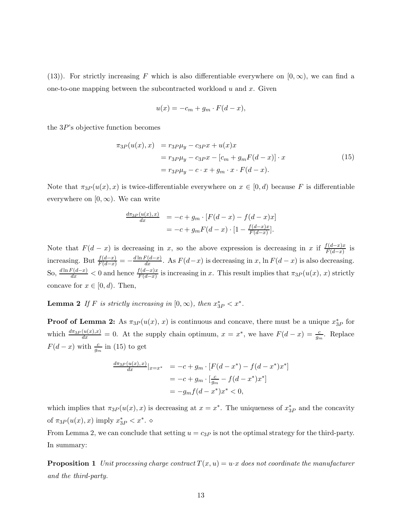(13)). For strictly increasing F which is also differentiable everywhere on  $[0, \infty)$ , we can find a one-to-one mapping between the subcontracted workload  $u$  and  $x$ . Given

$$
u(x) = -c_m + g_m \cdot F(d - x),
$$

the  $3P$ 's objective function becomes

$$
\pi_{3P}(u(x),x) = r_{3P}\mu_y - c_{3P}x + u(x)x
$$
  

$$
= r_{3P}\mu_y - c_{3P}x - [c_m + g_mF(d-x)] \cdot x
$$
  

$$
= r_{3P}\mu_y - c \cdot x + g_m \cdot x \cdot F(d-x).
$$
 (15)

Note that  $\pi_{3P}(u(x),x)$  is twice-differentiable everywhere on  $x \in [0,d)$  because F is differentiable everywhere on  $[0, \infty)$ . We can write

$$
\frac{d\pi_{3P}(u(x),x)}{dx} = -c + g_m \cdot [F(d-x) - f(d-x)x] \n= -c + g_m F(d-x) \cdot [1 - \frac{f(d-x)x}{F(d-x)}].
$$

Note that  $F(d-x)$  is decreasing in x, so the above expression is decreasing in x if  $\frac{f(d-x)x}{F(d-x)}$  is increasing. But  $\frac{f(d-x)}{F(d-x)} = -\frac{d\ln F(d-x)}{dx}$ . As  $F(d-x)$  is decreasing in x,  $\ln F(d-x)$  is also decreasing. So,  $\frac{d\ln F(d-x)}{dx}$  < 0 and hence  $\frac{f(d-x)x}{F(d-x)}$  is increasing in x. This result implies that  $\pi_{3P}(u(x), x)$  strictly concave for  $x \in [0, d)$ . Then,

**Lemma 2** *If* F *is strictly increasing in*  $[0, \infty)$ *, then*  $x_{3P}^* < x^*$ *.* 

**Proof of Lemma 2:** As  $\pi_{3P}(u(x), x)$  is continuous and concave, there must be a unique  $x_{3P}^*$  for which  $\frac{d\pi_{3P}(u(x),x)}{dx} = 0$ . At the supply chain optimum,  $x = x^*$ , we have  $F(d-x) = \frac{c}{g_m}$ . Replace  $F(d-x)$  with  $\frac{c}{g_m}$  in (15) to get

$$
\frac{d\pi_{3P}(u(x),x)}{dx}|_{x=x^*} = -c + g_m \cdot [F(d - x^*) - f(d - x^*)x^*]
$$
  
= -c + g\_m \cdot [\frac{c}{g\_m} - f(d - x^\*)x^\*]  
= -g\_m f(d - x^\*)x^\* < 0,

which implies that  $\pi_{3P}(u(x),x)$  is decreasing at  $x=x^*$ . The uniqueness of  $x^*_{3P}$  and the concavity of  $\pi_{3P}(u(x),x)$  imply  $x_{3P}^* < x^*$ .  $\diamond$ 

From Lemma 2, we can conclude that setting  $u = c_{3P}$  is not the optimal strategy for the third-party. In summary:

**Proposition 1** *Unit processing charge contract*  $T(x, u) = u \cdot x$  *does not coordinate the manufacturer and the third-party.*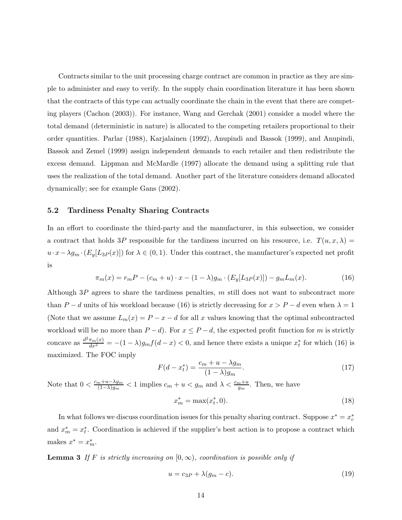Contracts similar to the unit processing charge contract are common in practice as they are simple to administer and easy to verify. In the supply chain coordination literature it has been shown that the contracts of this type can actually coordinate the chain in the event that there are competing players (Cachon (2003)). For instance, Wang and Gerchak (2001) consider a model where the total demand (deterministic in nature) is allocated to the competing retailers proportional to their order quantities. Parlar (1988), Karjalainen (1992), Anupindi and Bassok (1999), and Anupindi, Bassok and Zemel (1999) assign independent demands to each retailer and then redistribute the excess demand. Lippman and McMardle (1997) allocate the demand using a splitting rule that uses the realization of the total demand. Another part of the literature considers demand allocated dynamically; see for example Gans (2002).

#### **5.2 Tardiness Penalty Sharing Contracts**

In an effort to coordinate the third-party and the manufacturer, in this subsection, we consider a contract that holds 3P responsible for the tardiness incurred on his resource, i.e.  $T(u, x, \lambda) =$  $u \cdot x - \lambda g_m \cdot (E_y[L_{3P}(x)])$  for  $\lambda \in (0, 1)$ . Under this contract, the manufacturer's expected net profit is

$$
\pi_m(x) = r_m P - (c_m + u) \cdot x - (1 - \lambda) g_m \cdot (E_y[L_{3P}(x)]) - g_m L_m(x). \tag{16}
$$

Although  $3P$  agrees to share the tardiness penalties, m still does not want to subcontract more than P − d units of his workload because (16) is strictly decreasing for  $x > P - d$  even when  $\lambda = 1$ (Note that we assume  $L_m(x) = P - x - d$  for all x values knowing that the optimal subcontracted workload will be no more than  $P - d$ ). For  $x \le P - d$ , the expected profit function for m is strictly concave as  $\frac{d^2\pi_m(x)}{dx^2} = -(1-\lambda)g_m f(d-x) < 0$ , and hence there exists a unique  $x_t^*$  for which (16) is maximized. The FOC imply

$$
F(d - xt*) = \frac{c_m + u - \lambda g_m}{(1 - \lambda)g_m}.
$$
\n(17)

Note that  $0 < \frac{c_m + u - \lambda g_m}{(1-\lambda)g_m} < 1$  implies  $c_m + u < g_m$  and  $\lambda < \frac{c_m + u}{g_m}$ . Then, we have

$$
x_m^* = \max(x_t^*, 0). \tag{18}
$$

In what follows we discuss coordination issues for this penalty sharing contract. Suppose  $x^* = x_c^*$ and  $x_m^* = x_t^*$ . Coordination is achieved if the supplier's best action is to propose a contract which makes  $x^* = x_m^*$ .

**Lemma 3** *If* F *is strictly increasing on*  $[0, \infty)$ *, coordination is possible only if* 

$$
u = c_{3P} + \lambda(g_m - c). \tag{19}
$$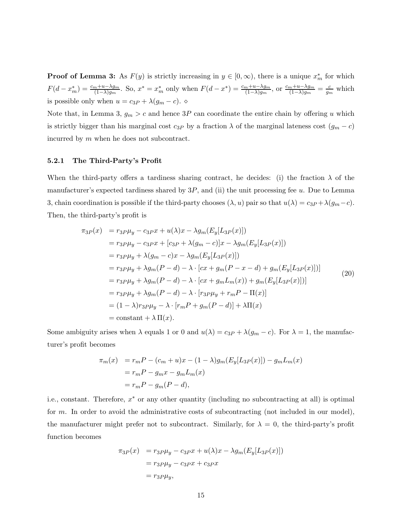**Proof of Lemma 3:** As  $F(y)$  is strictly increasing in  $y \in [0, \infty)$ , there is a unique  $x_m^*$  for which  $F(d-x_m^*)=\frac{c_m+u-\lambda g_m}{(1-\lambda)g_m}$ . So,  $x^*=x_m^*$  only when  $F(d-x^*)=\frac{c_m+u-\lambda g_m}{(1-\lambda)g_m}$ , or  $\frac{c_m+u-\lambda g_m}{(1-\lambda)g_m}=\frac{c}{g_m}$  which is possible only when  $u = c_{3P} + \lambda(g_m - c)$ .  $\diamond$ 

Note that, in Lemma 3,  $g_m > c$  and hence 3P can coordinate the entire chain by offering u which is strictly bigger than his marginal cost  $c_{3P}$  by a fraction  $\lambda$  of the marginal lateness cost  $(g_m - c)$ incurred by m when he does not subcontract.

#### **5.2.1 The Third-Party's Profit**

When the third-party offers a tardiness sharing contract, he decides: (i) the fraction  $\lambda$  of the manufacturer's expected tardiness shared by  $3P$ , and (ii) the unit processing fee u. Due to Lemma 3, chain coordination is possible if the third-party chooses  $(\lambda, u)$  pair so that  $u(\lambda) = c_{3P} + \lambda(g_m - c)$ . Then, the third-party's profit is

$$
\pi_{3}P(x) = r_{3}p\mu_{y} - c_{3}px + u(\lambda)x - \lambda g_{m}(E_{y}[L_{3}P(x)])
$$
  
\n
$$
= r_{3}p\mu_{y} - c_{3}px + [c_{3}p + \lambda(g_{m} - c)]x - \lambda g_{m}(E_{y}[L_{3}p(x)])
$$
  
\n
$$
= r_{3}p\mu_{y} + \lambda(g_{m} - c)x - \lambda g_{m}(E_{y}[L_{3}p(x)])
$$
  
\n
$$
= r_{3}p\mu_{y} + \lambda g_{m}(P - d) - \lambda \cdot [cx + g_{m}(P - x - d) + g_{m}(E_{y}[L_{3}p(x)])]
$$
  
\n
$$
= r_{3}p\mu_{y} + \lambda g_{m}(P - d) - \lambda \cdot [cx + g_{m}L_{m}(x)) + g_{m}(E_{y}[L_{3}p(x)])]
$$
  
\n
$$
= r_{3}p\mu_{y} + \lambda g_{m}(P - d) - \lambda \cdot [r_{3}p\mu_{y} + r_{m}P - \Pi(x)]
$$
  
\n
$$
= (1 - \lambda)r_{3}p\mu_{y} - \lambda \cdot [r_{m}P + g_{m}(P - d)] + \lambda\Pi(x)
$$
  
\n
$$
= \text{constant} + \lambda \Pi(x).
$$
 (20)

Some ambiguity arises when  $\lambda$  equals 1 or 0 and  $u(\lambda) = c_{3P} + \lambda(g_m - c)$ . For  $\lambda = 1$ , the manufacturer's profit becomes

$$
\pi_m(x) = r_m P - (c_m + u)x - (1 - \lambda)g_m(E_y[L_{3P}(x)]) - g_m L_m(x)
$$
  
=  $r_m P - g_m x - g_m L_m(x)$   
=  $r_m P - g_m (P - d)$ ,

i.e., constant. Therefore, x<sup>∗</sup> or any other quantity (including no subcontracting at all) is optimal for m. In order to avoid the administrative costs of subcontracting (not included in our model), the manufacturer might prefer not to subcontract. Similarly, for  $\lambda = 0$ , the third-party's profit function becomes

$$
\pi_{3P}(x) = r_{3P}\mu_y - c_{3P}x + u(\lambda)x - \lambda g_m(E_y[L_{3P}(x)])
$$

$$
= r_{3P}\mu_y - c_{3P}x + c_{3P}x
$$

$$
= r_{3P}\mu_y,
$$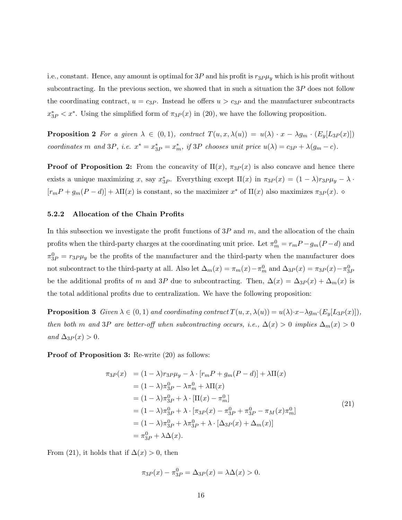i.e., constant. Hence, any amount is optimal for  $3P$  and his profit is  $r_3P\mu_y$  which is his profit without subcontracting. In the previous section, we showed that in such a situation the  $3P$  does not follow the coordinating contract,  $u = c_{3P}$ . Instead he offers  $u > c_{3P}$  and the manufacturer subcontracts  $x_{3P}^* < x^*$ . Using the simplified form of  $\pi_{3P}(x)$  in (20), we have the following proposition.

**Proposition 2** For a given  $\lambda \in (0,1)$ *, contract*  $T(u, x, \lambda(u)) = u(\lambda) \cdot x - \lambda g_m \cdot (E_y[L_{3P}(x)])$ *coordinates* m and 3P, *i.e.*  $x^* = x_{3P}^* = x_m^*$ , if 3P *chooses unit price*  $u(\lambda) = c_{3P} + \lambda(g_m - c)$ *.* 

**Proof of Proposition 2:** From the concavity of  $\Pi(x)$ ,  $\pi_{3P}(x)$  is also concave and hence there exists a unique maximizing x, say  $x_{3P}^*$ . Everything except  $\Pi(x)$  in  $\pi_{3P}(x) = (1 - \lambda)r_{3P}\mu_y - \lambda$ .  $[r_mP+g_m(P-d)]+\lambda\Pi(x)$  is constant, so the maximizer  $x^*$  of  $\Pi(x)$  also maximizes  $\pi_{3P}(x)$ .

#### **5.2.2 Allocation of the Chain Profits**

In this subsection we investigate the profit functions of  $3P$  and m, and the allocation of the chain profits when the third-party charges at the coordinating unit price. Let  $\pi_m^0 = r_m P - g_m (P - d)$  and  $\pi_{3P}^0 = r_{3P}\mu_y$  be the profits of the manufacturer and the third-party when the manufacturer does not subcontract to the third-party at all. Also let  $\Delta_m(x) = \pi_m(x) - \pi_m^0$  and  $\Delta_{3P}(x) = \pi_{3P}(x) - \pi_{3P}^0(x)$ be the additional profits of m and 3P due to subcontracting. Then,  $\Delta(x) = \Delta_{3P}(x) + \Delta_m(x)$  is the total additional profits due to centralization. We have the following proposition:

**Proposition 3** *Given*  $\lambda \in (0,1)$  *and coordinating contract*  $T(u, x, \lambda(u)) = u(\lambda) \cdot x - \lambda g_m \cdot (E_u[L_{3P}(x)])$ *, then both* m *and* 3P *are better-off when subcontracting occurs, i.e.,*  $\Delta(x) > 0$  *implies*  $\Delta_m(x) > 0$  $and \Delta_{3P}(x) > 0.$ 

**Proof of Proposition 3:** Re-write  $(20)$  as follows:

$$
\pi_{3P}(x) = (1 - \lambda)r_{3P}\mu_y - \lambda \cdot [r_m P + g_m (P - d)] + \lambda \Pi(x) \n= (1 - \lambda)\pi_{3P}^0 - \lambda \pi_m^0 + \lambda \Pi(x) \n= (1 - \lambda)\pi_{3P}^0 + \lambda \cdot [\Pi(x) - \pi_m^0] \n= (1 - \lambda)\pi_{3P}^0 + \lambda \cdot [\pi_{3P}(x) - \pi_{3P}^0 + \pi_{3P}^0 - \pi_M(x)\pi_m^0] \n= (1 - \lambda)\pi_{3P}^0 + \lambda \pi_{3P}^0 + \lambda \cdot [\Delta_{3P}(x) + \Delta_m(x)] \n= \pi_{3P}^0 + \lambda \Delta(x).
$$
\n(21)

From (21), it holds that if  $\Delta(x) > 0$ , then

$$
\pi_{3P}(x) - \pi_{3P}^{0} = \Delta_{3P}(x) = \lambda \Delta(x) > 0.
$$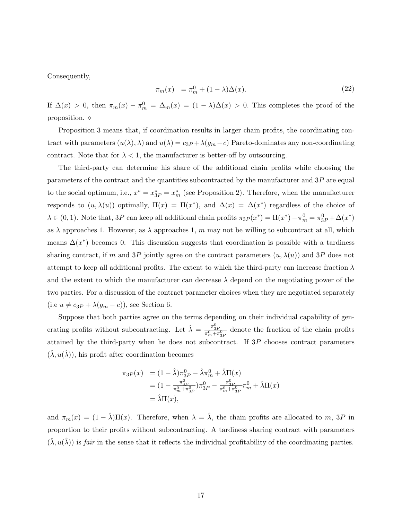Consequently,

$$
\pi_m(x) = \pi_m^0 + (1 - \lambda)\Delta(x). \tag{22}
$$

If  $\Delta(x) > 0$ , then  $\pi_m(x) - \pi_m^0 = \Delta_m(x) = (1 - \lambda)\Delta(x) > 0$ . This completes the proof of the proposition.  $\diamond$ 

Proposition 3 means that, if coordination results in larger chain profits, the coordinating contract with parameters  $(u(\lambda), \lambda)$  and  $u(\lambda) = c_{3P} + \lambda(g_m - c)$  Pareto-dominates any non-coordinating contract. Note that for  $\lambda < 1$ , the manufacturer is better-off by outsourcing.

The third-party can determine his share of the additional chain profits while choosing the parameters of the contract and the quantities subcontracted by the manufacturer and  $3P$  are equal to the social optimum, i.e.,  $x^* = x_{3P}^* = x_m^*$  (see Proposition 2). Therefore, when the manufacturer responds to  $(u, \lambda(u))$  optimally,  $\Pi(x) = \Pi(x^*)$ , and  $\Delta(x) = \Delta(x^*)$  regardless of the choice of  $\lambda \in (0,1)$ . Note that, 3P can keep all additional chain profits  $\pi_{3}P(x^*) = \Pi(x^*) - \pi_m^0 = \pi_{3P}^0 + \Delta(x^*)$ as  $\lambda$  approaches 1. However, as  $\lambda$  approaches 1, m may not be willing to subcontract at all, which means  $\Delta(x^*)$  becomes 0. This discussion suggests that coordination is possible with a tardiness sharing contract, if m and 3P jointly agree on the contract parameters  $(u, \lambda(u))$  and 3P does not attempt to keep all additional profits. The extent to which the third-party can increase fraction  $\lambda$ and the extent to which the manufacturer can decrease  $\lambda$  depend on the negotiating power of the two parties. For a discussion of the contract parameter choices when they are negotiated separately (i.e  $u \neq c_{3P} + \lambda(g_m - c)$ ), see Section 6.

Suppose that both parties agree on the terms depending on their individual capability of generating profits without subcontracting. Let  $\hat{\lambda} = \frac{\pi_{3P}^0}{\pi_m^0 + \pi_{3P}^0}$  denote the fraction of the chain profits attained by the third-party when he does not subcontract. If 3P chooses contract parameters  $(\lambda, u(\lambda))$ , his profit after coordination becomes

$$
\pi_{3P}(x) = (1 - \hat{\lambda})\pi_{3P}^{0} - \hat{\lambda}\pi_{m}^{0} + \hat{\lambda}\Pi(x)
$$
  
=  $(1 - \frac{\pi_{3P}^{0}}{\pi_{m}^{0} + \pi_{3P}^{0}})\pi_{3P}^{0} - \frac{\pi_{3P}^{0}}{\pi_{m}^{0} + \pi_{3P}^{0}}\pi_{m}^{0} + \hat{\lambda}\Pi(x)$   
=  $\hat{\lambda}\Pi(x),$ 

and  $\pi_m(x) = (1 - \hat{\lambda})\Pi(x)$ . Therefore, when  $\lambda = \hat{\lambda}$ , the chain profits are allocated to m, 3P in proportion to their profits without subcontracting. A tardiness sharing contract with parameters  $(\hat{\lambda}, u(\hat{\lambda}))$  is *fair* in the sense that it reflects the individual profitability of the coordinating parties.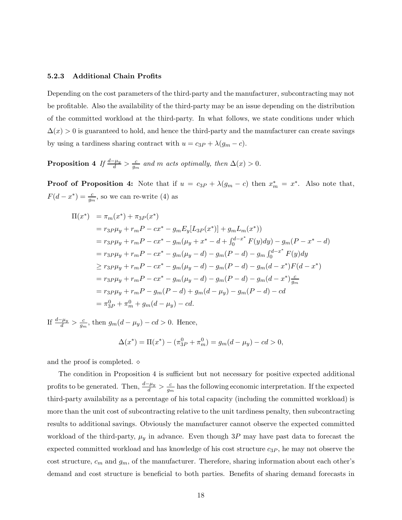#### **5.2.3 Additional Chain Profits**

Depending on the cost parameters of the third-party and the manufacturer, subcontracting may not be profitable. Also the availability of the third-party may be an issue depending on the distribution of the committed workload at the third-party. In what follows, we state conditions under which  $\Delta(x) > 0$  is guaranteed to hold, and hence the third-party and the manufacturer can create savings by using a tardiness sharing contract with  $u = c_{3P} + \lambda(g_m - c)$ .

**Proposition 4** *If*  $\frac{d-\mu_y}{d} > \frac{c}{g_m}$  *and m acts optimally, then*  $\Delta(x) > 0$ *.* 

**Proof of Proposition 4:** Note that if  $u = c_{3P} + \lambda(g_m - c)$  then  $x_m^* = x^*$ . Also note that,  $F(d-x^*)=\frac{c}{g_m}$ , so we can re-write (4) as

$$
\Pi(x^*) = \pi_m(x^*) + \pi_{3P}(x^*)
$$
\n
$$
= r_{3P}\mu_y + r_m P - cx^* - g_m E_y [L_{3P}(x^*)] + g_m L_m(x^*))
$$
\n
$$
= r_{3P}\mu_y + r_m P - cx^* - g_m(\mu_y + x^* - d + \int_0^{d-x^*} F(y) dy) - g_m (P - x^* - d)
$$
\n
$$
= r_{3P}\mu_y + r_m P - cx^* - g_m(\mu_y - d) - g_m (P - d) - g_m \int_0^{d-x^*} F(y) dy
$$
\n
$$
\geq r_{3P}\mu_y + r_m P - cx^* - g_m(\mu_y - d) - g_m (P - d) - g_m (d - x^*) F(d - x^*)
$$
\n
$$
= r_{3P}\mu_y + r_m P - cx^* - g_m(\mu_y - d) - g_m (P - d) - g_m (d - x^*) \frac{c}{g_m}
$$
\n
$$
= r_{3P}\mu_y + r_m P - g_m (P - d) + g_m (d - \mu_y) - g_m (P - d) - cd
$$
\n
$$
= \pi_{3P}^0 + \pi_m^0 + g_m (d - \mu_y) - cd.
$$

If  $\frac{d-\mu_y}{d} > \frac{c}{g_m}$ , then  $g_m(d-\mu_y) - cd > 0$ . Hence,

$$
\Delta(x^*) = \Pi(x^*) - (\pi_{3P}^0 + \pi_m^0) = g_m(d - \mu_y) - cd > 0,
$$

and the proof is completed.  $\diamond$ 

The condition in Proposition 4 is sufficient but not necessary for positive expected additional profits to be generated. Then,  $\frac{d-\mu_y}{d} > \frac{c}{g_m}$  has the following economic interpretation. If the expected third-party availability as a percentage of his total capacity (including the committed workload) is more than the unit cost of subcontracting relative to the unit tardiness penalty, then subcontracting results to additional savings. Obviously the manufacturer cannot observe the expected committed workload of the third-party,  $\mu_y$  in advance. Even though 3P may have past data to forecast the expected committed workload and has knowledge of his cost structure  $c_{3P}$ , he may not observe the cost structure,  $c_m$  and  $g_m$ , of the manufacturer. Therefore, sharing information about each other's demand and cost structure is beneficial to both parties. Benefits of sharing demand forecasts in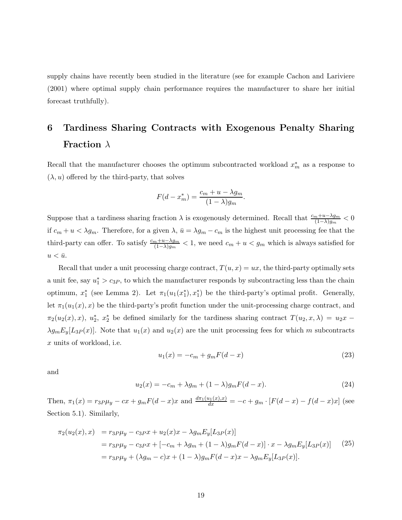supply chains have recently been studied in the literature (see for example Cachon and Lariviere (2001) where optimal supply chain performance requires the manufacturer to share her initial forecast truthfully).

# **6 Tardiness Sharing Contracts with Exogenous Penalty Sharing Fraction** λ

Recall that the manufacturer chooses the optimum subcontracted workload  $x_m^*$  as a response to  $(\lambda, u)$  offered by the third-party, that solves

$$
F(d - x_m^*) = \frac{c_m + u - \lambda g_m}{(1 - \lambda)g_m}.
$$

Suppose that a tardiness sharing fraction  $\lambda$  is exogenously determined. Recall that  $\frac{c_m+u-\lambda g_m}{(1-\lambda)g_m} < 0$ if  $c_m + u < \lambda g_m$ . Therefore, for a given  $\lambda$ ,  $\bar{u} = \lambda g_m - c_m$  is the highest unit processing fee that the third-party can offer. To satisfy  $\frac{c_m+u-\lambda g_m}{(1-\lambda)g_m} < 1$ , we need  $c_m + u < g_m$  which is always satisfied for  $u < \bar{u}.$ 

Recall that under a unit processing charge contract,  $T(u, x) = ux$ , the third-party optimally sets a unit fee, say  $u_1^* > c_{3P}$ , to which the manufacturer responds by subcontracting less than the chain optimum,  $x_1^*$  (see Lemma 2). Let  $\pi_1(u_1(x_1^*), x_1^*)$  be the third-party's optimal profit. Generally, let  $\pi_1(u_1(x), x)$  be the third-party's profit function under the unit-processing charge contract, and  $\pi_2(u_2(x),x)$ ,  $u_2^*$ ,  $x_2^*$  be defined similarly for the tardiness sharing contract  $T(u_2,x,\lambda) = u_2x \lambda g_m E_y[L_3P(x)]$ . Note that  $u_1(x)$  and  $u_2(x)$  are the unit processing fees for which m subcontracts x units of workload, i.e.

$$
u_1(x) = -c_m + g_m F(d - x)
$$
\n(23)

and

$$
u_2(x) = -c_m + \lambda g_m + (1 - \lambda) g_m F(d - x).
$$
 (24)

Then,  $\pi_1(x) = r_3 P \mu_y - cx + g_m F(d-x)x$  and  $\frac{d\pi_1(u_1(x),x)}{dx} = -c + g_m \cdot [F(d-x) - f(d-x)x]$  (see Section 5.1). Similarly,

$$
\pi_2(u_2(x), x) = r_{3} \mu_y - c_{3} \mu_x + u_2(x)x - \lambda g_m E_y[L_{3} \mu_x]
$$
  
= 
$$
r_{3} \mu_y - c_{3} \mu_x + [-c_m + \lambda g_m + (1 - \lambda) g_m F(d - x)] \cdot x - \lambda g_m E_y[L_{3} \mu_x]
$$
 (25)  
= 
$$
r_{3} \mu_y + (\lambda g_m - c)x + (1 - \lambda) g_m F(d - x)x - \lambda g_m E_y[L_{3} \mu_x].
$$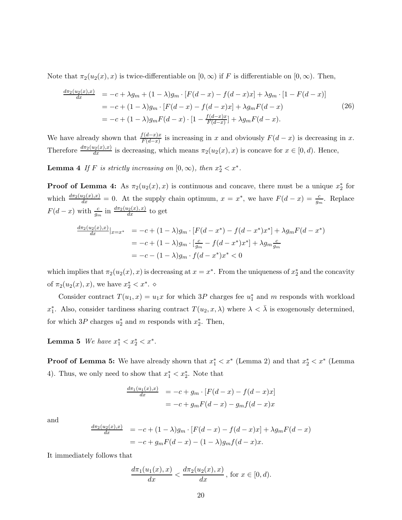Note that  $\pi_2(u_2(x), x)$  is twice-differentiable on  $[0, \infty)$  if F is differentiable on  $[0, \infty)$ . Then,

$$
\frac{d\pi_2(u_2(x),x)}{dx} = -c + \lambda g_m + (1-\lambda)g_m \cdot [F(d-x) - f(d-x)x] + \lambda g_m \cdot [1 - F(d-x)]
$$
  
\n
$$
= -c + (1-\lambda)g_m \cdot [F(d-x) - f(d-x)x] + \lambda g_m F(d-x)
$$
(26)  
\n
$$
= -c + (1-\lambda)g_m F(d-x) \cdot [1 - \frac{f(d-x)x}{F(d-x)}] + \lambda g_m F(d-x).
$$

We have already shown that  $\frac{f(d-x)x}{F(d-x)}$  is increasing in x and obviously  $F(d-x)$  is decreasing in x. Therefore  $\frac{d\pi_2(u_2(x),x)}{dx}$  is decreasing, which means  $\pi_2(u_2(x),x)$  is concave for  $x \in [0,d)$ . Hence,

**Lemma 4** *If* F *is strictly increasing on*  $[0, \infty)$ *, then*  $x_2^* < x^*$ *.* 

**Proof of Lemma 4:** As  $\pi_2(u_2(x), x)$  is continuous and concave, there must be a unique  $x_2^*$  for which  $\frac{d\pi_2(u_2(x),x)}{dx} = 0$ . At the supply chain optimum,  $x = x^*$ , we have  $F(d-x) = \frac{c}{g_m}$ . Replace  $F(d-x)$  with  $\frac{c}{g_m}$  in  $\frac{d\pi_2(u_2(x),x)}{dx}$  to get

$$
\frac{d\pi_2(u_2(x),x)}{dx}|_{x=x^*} = -c + (1-\lambda)g_m \cdot [F(d-x^*) - f(d-x^*)x^*] + \lambda g_m F(d-x^*)
$$
  
= -c + (1-\lambda)g\_m \cdot [\frac{c}{g\_m} - f(d-x^\*)x^\*] + \lambda g\_m \frac{c}{g\_m}  
= -c - (1-\lambda)g\_m \cdot f(d-x^\*)x^\* < 0

which implies that  $\pi_2(u_2(x), x)$  is decreasing at  $x = x^*$ . From the uniqueness of  $x_2^*$  and the concavity of  $\pi_2(u_2(x), x)$ , we have  $x_2^* < x^*$ .  $\diamond$ 

Consider contract  $T(u_1, x) = u_1x$  for which 3P charges fee  $u_1^*$  and m responds with workload x<sup>∗</sup><sub>1</sub>. Also, consider tardiness sharing contract  $T(u_2, x, \lambda)$  where  $\lambda < \overline{\lambda}$  is exogenously determined, for which  $3P$  charges  $u_2^*$  and m responds with  $x_2^*$ . Then,

**Lemma 5** *We have*  $x_1^* < x_2^* < x^*$ .

**Proof of Lemma 5:** We have already shown that  $x_1^* < x^*$  (Lemma 2) and that  $x_2^* < x^*$  (Lemma 4). Thus, we only need to show that  $x_1^* < x_2^*$ . Note that

$$
\frac{d\pi_1(u_1(x),x)}{dx} = -c + g_m \cdot [F(d-x) - f(d-x)x]
$$

$$
= -c + g_m F(d-x) - g_m f(d-x)x
$$

and

$$
\frac{d\pi_2(u_2(x),x)}{dx} = -c + (1-\lambda)g_m \cdot [F(d-x) - f(d-x)x] + \lambda g_m F(d-x)
$$
  
= -c + g\_m F(d-x) - (1-\lambda)g\_m f(d-x)x.

It immediately follows that

$$
\frac{d\pi_1(u_1(x),x)}{dx} < \frac{d\pi_2(u_2(x),x)}{dx} \text{, for } x \in [0,d).
$$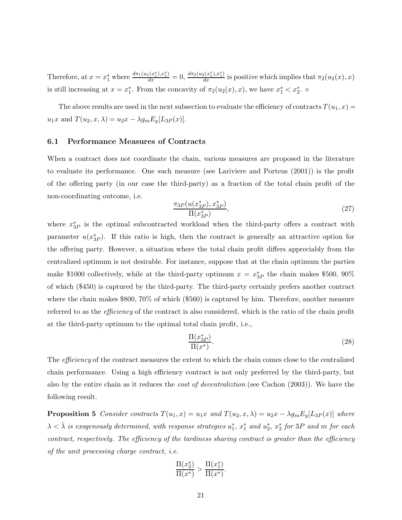Therefore, at  $x = x_1^*$  where  $\frac{d\pi_1(u_1(x_1^*), x_1^*)}{dx} = 0$ ,  $\frac{d\pi_2(u_2(x_1^*), x_1^*)}{dx}$  is positive which implies that  $\pi_2(u_2(x), x)$ is still increasing at  $x = x_1^*$ . From the concavity of  $\pi_2(u_2(x), x)$ , we have  $x_1^* < x_2^*$ .

The above results are used in the next subsection to evaluate the efficiency of contracts  $T(u_1, x) =$  $u_1x$  and  $T(u_2, x, \lambda) = u_2x - \lambda g_m E_y[L_{3P}(x)].$ 

#### **6.1 Performance Measures of Contracts**

When a contract does not coordinate the chain, various measures are proposed in the literature to evaluate its performance. One such measure (see Lariviere and Porteus (2001)) is the profit of the offering party (in our case the third-party) as a fraction of the total chain profit of the non-coordinating outcome, i.e.

$$
\frac{\pi_3 P(u(x_3^* P), x_3^* P)}{\Pi(x_3^* P)},
$$
\n(27)

where  $x_{3P}^*$  is the optimal subcontracted workload when the third-party offers a contract with parameter  $u(x_{3P}^*)$ . If this ratio is high, then the contract is generally an attractive option for the offering party. However, a situation where the total chain profit differs appreciably from the centralized optimum is not desirable. For instance, suppose that at the chain optimum the parties make \$1000 collectively, while at the third-party optimum  $x = x_{3P}^*$  the chain makes \$500, 90% of which (\$450) is captured by the third-party. The third-party certainly prefers another contract where the chain makes \$800, 70% of which (\$560) is captured by him. Therefore, another measure referred to as the *efficiency* of the contract is also considered, which is the ratio of the chain profit at the third-party optimum to the optimal total chain profit, i.e.,

$$
\frac{\Pi(x_{3P}^*)}{\Pi(x^*)}.\tag{28}
$$

The *efficiency* of the contract measures the extent to which the chain comes close to the centralized chain performance. Using a high efficiency contract is not only preferred by the third-party, but also by the entire chain as it reduces the *cost of decentraliztion* (see Cachon (2003)). We have the following result.

**Proposition 5** *Consider contracts*  $T(u_1, x) = u_1x$  *and*  $T(u_2, x, \lambda) = u_2x - \lambda g_m E_y[L_{3P}(x)]$  *where*  $\lambda < \bar{\lambda}$  *is exogenously determined, with response strategies*  $u_1^*, x_1^*$  *and*  $u_2^*, x_2^*$  *for* 3P *and* m *for each contract, respectively. The efficiency of the tardiness sharing contract is greater than the efficiency of the unit processing charge contract, i.e.*

$$
\frac{\Pi(x_2^*)}{\Pi(x^*)} > \frac{\Pi(x_1^*)}{\Pi(x^*)}.
$$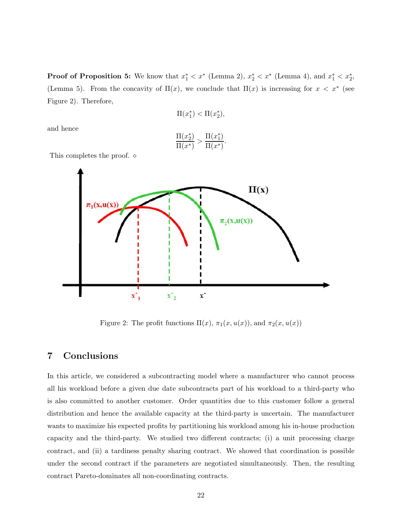**Proof of Proposition 5:** We know that  $x_1^* < x^*$  (Lemma 2),  $x_2^* < x^*$  (Lemma 4), and  $x_1^* < x_2^*$ , (Lemma 5). From the concavity of  $\Pi(x)$ , we conclude that  $\Pi(x)$  is increasing for  $x < x^*$  (see Figure 2). Therefore,

$$
\Pi(x_1^*) < \Pi(x_2^*),
$$

and hence

$$
\frac{\Pi(x_2^*)}{\Pi(x^*)} > \frac{\Pi(x_1^*)}{\Pi(x^*)}
$$

.

This completes the proof.  $\diamond$ 



Figure 2: The profit functions  $\Pi(x)$ ,  $\pi_1(x, u(x))$ , and  $\pi_2(x, u(x))$ 

### **7 Conclusions**

In this article, we considered a subcontracting model where a manufacturer who cannot process all his workload before a given due date subcontracts part of his workload to a third-party who is also committed to another customer. Order quantities due to this customer follow a general distribution and hence the available capacity at the third-party is uncertain. The manufacturer wants to maximize his expected profits by partitioning his workload among his in-house production capacity and the third-party. We studied two different contracts; (i) a unit processing charge contract, and (ii) a tardiness penalty sharing contract. We showed that coordination is possible under the second contract if the parameters are negotiated simultaneously. Then, the resulting contract Pareto-dominates all non-coordinating contracts.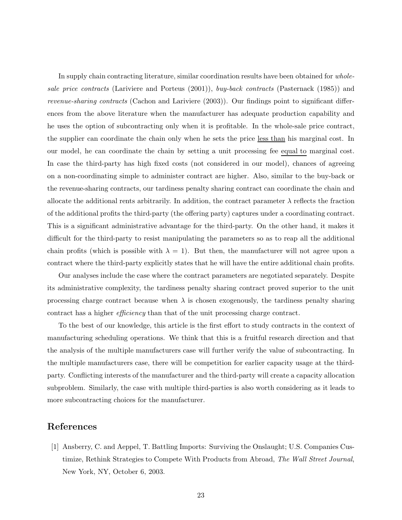In supply chain contracting literature, similar coordination results have been obtained for *wholesale price contracts* (Lariviere and Porteus (2001)), *buy-back contracts* (Pasternack (1985)) and *revenue-sharing contracts* (Cachon and Lariviere (2003)). Our findings point to significant differences from the above literature when the manufacturer has adequate production capability and he uses the option of subcontracting only when it is profitable. In the whole-sale price contract, the supplier can coordinate the chain only when he sets the price less than his marginal cost. In our model, he can coordinate the chain by setting a unit processing fee equal to marginal cost. In case the third-party has high fixed costs (not considered in our model), chances of agreeing on a non-coordinating simple to administer contract are higher. Also, similar to the buy-back or the revenue-sharing contracts, our tardiness penalty sharing contract can coordinate the chain and allocate the additional rents arbitrarily. In addition, the contract parameter  $\lambda$  reflects the fraction of the additional profits the third-party (the offering party) captures under a coordinating contract. This is a significant administrative advantage for the third-party. On the other hand, it makes it difficult for the third-party to resist manipulating the parameters so as to reap all the additional chain profits (which is possible with  $\lambda = 1$ ). But then, the manufacturer will not agree upon a contract where the third-party explicitly states that he will have the entire additional chain profits.

Our analyses include the case where the contract parameters are negotiated separately. Despite its administrative complexity, the tardiness penalty sharing contract proved superior to the unit processing charge contract because when  $\lambda$  is chosen exogenously, the tardiness penalty sharing contract has a higher *efficiency* than that of the unit processing charge contract.

To the best of our knowledge, this article is the first effort to study contracts in the context of manufacturing scheduling operations. We think that this is a fruitful research direction and that the analysis of the multiple manufacturers case will further verify the value of subcontracting. In the multiple manufacturers case, there will be competition for earlier capacity usage at the thirdparty. Conflicting interests of the manufacturer and the third-party will create a capacity allocation subproblem. Similarly, the case with multiple third-parties is also worth considering as it leads to more subcontracting choices for the manufacturer.

## **References**

[1] Ansberry, C. and Aeppel, T. Battling Imports: Surviving the Onslaught; U.S. Companies Custimize, Rethink Strategies to Compete With Products from Abroad, *The Wall Street Journal*, New York, NY, October 6, 2003.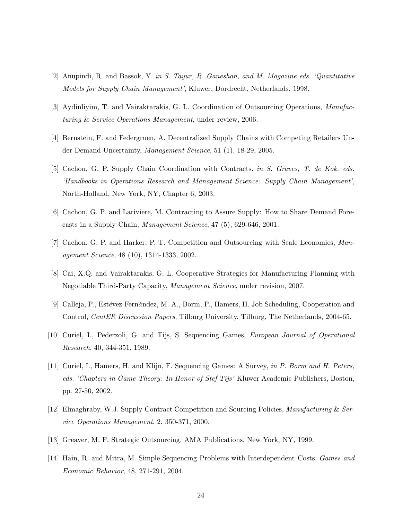- [2] Anupindi, R. and Bassok, Y. *in S. Tayur, R. Ganeshan, and M. Magazine eds. 'Quantitative Models for Supply Chain Management'*, Kluwer, Dordrecht, Netherlands, 1998.
- [3] Aydinliyim, T. and Vairaktarakis, G. L. Coordination of Outsourcing Operations, *Manufacturing* & *Service Operations Management*, under review, 2006.
- [4] Bernstein, F. and Federgruen, A. Decentralized Supply Chains with Competing Retailers Under Demand Uncertainty, *Management Science*, 51 (1), 18-29, 2005.
- [5] Cachon, G. P. Supply Chain Coordination with Contracts. *in S. Graves, T. de Kok, eds. 'Handbooks in Operations Research and Management Science: Supply Chain Management'*, North-Holland, New York, NY, Chapter 6, 2003.
- [6] Cachon, G. P. and Lariviere, M. Contracting to Assure Supply: How to Share Demand Forecasts in a Supply Chain, *Management Science*, 47 (5), 629-646, 2001.
- [7] Cachon, G. P. and Harker, P. T. Competition and Outsourcing with Scale Economies, *Management Science*, 48 (10), 1314-1333, 2002.
- [8] Cai, X.Q. and Vairaktarakis, G. L. Cooperative Strategies for Manufacturing Planning with Negotiable Third-Party Capacity, *Management Science*, under revision, 2007.
- [9] Calleja, P., Estévez-Fernández, M. A., Borm, P., Hamers, H. Job Scheduling, Cooperation and Control, *CentER Discussion Papers*, Tilburg University, Tilburg, The Netherlands, 2004-65.
- [10] Curiel, I., Pederzoli, G. and Tijs, S. Sequencing Games, *European Journal of Operational Research*, 40, 344-351, 1989.
- [11] Curiel, I., Hamers, H. and Klijn, F. Sequencing Games: A Survey, *in P. Borm and H. Peters, eds. 'Chapters in Game Theory: In Honor of Stef Tijs'* Kluwer Academic Publishers, Boston, pp. 27-50, 2002.
- [12] Elmaghraby, W.J. Supply Contract Competition and Sourcing Policies, *Manufacturing* & *Service Operations Management*, 2, 350-371, 2000.
- [13] Greaver, M. F. Strategic Outsourcing, AMA Publications, New York, NY, 1999.
- [14] Hain, R. and Mitra, M. Simple Sequencing Problems with Interdependent Costs, *Games and Economic Behavior*, 48, 271-291, 2004.